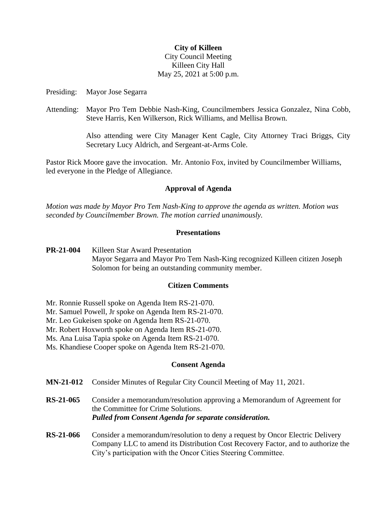## **City of Killeen**

# City Council Meeting Killeen City Hall May 25, 2021 at 5:00 p.m.

Presiding: Mayor Jose Segarra

Attending: Mayor Pro Tem Debbie Nash-King, Councilmembers Jessica Gonzalez, Nina Cobb, Steve Harris, Ken Wilkerson, Rick Williams, and Mellisa Brown.

> Also attending were City Manager Kent Cagle, City Attorney Traci Briggs, City Secretary Lucy Aldrich, and Sergeant-at-Arms Cole.

Pastor Rick Moore gave the invocation. Mr. Antonio Fox, invited by Councilmember Williams, led everyone in the Pledge of Allegiance.

## **Approval of Agenda**

*Motion was made by Mayor Pro Tem Nash-King to approve the agenda as written. Motion was seconded by Councilmember Brown. The motion carried unanimously.*

#### **Presentations**

**PR-21-004** Killeen Star Award Presentation Mayor Segarra and Mayor Pro Tem Nash-King recognized Killeen citizen Joseph Solomon for being an outstanding community member.

#### **Citizen Comments**

- Mr. Ronnie Russell spoke on Agenda Item RS-21-070.
- Mr. Samuel Powell, Jr spoke on Agenda Item RS-21-070.
- Mr. Leo Gukeisen spoke on Agenda Item RS-21-070.
- Mr. Robert Hoxworth spoke on Agenda Item RS-21-070.
- Ms. Ana Luisa Tapia spoke on Agenda Item RS-21-070.
- Ms. Khandiese Cooper spoke on Agenda Item RS-21-070.

#### **Consent Agenda**

- **MN-21-012** Consider Minutes of Regular City Council Meeting of May 11, 2021.
- **RS-21-065** Consider a memorandum/resolution approving a Memorandum of Agreement for the Committee for Crime Solutions. *Pulled from Consent Agenda for separate consideration.*
- **RS-21-066** Consider a memorandum/resolution to deny a request by Oncor Electric Delivery Company LLC to amend its Distribution Cost Recovery Factor, and to authorize the City's participation with the Oncor Cities Steering Committee.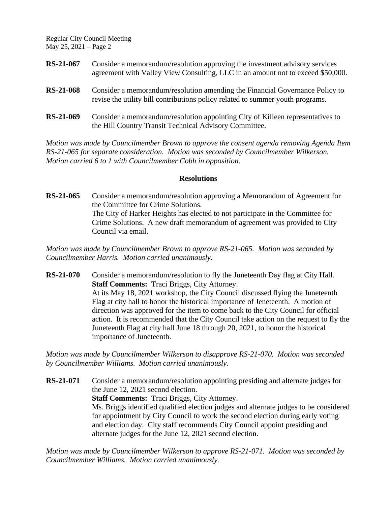Regular City Council Meeting May 25, 2021 – Page 2

| <b>RS-21-067</b> | Consider a memorandum/resolution approving the investment advisory services<br>agreement with Valley View Consulting, LLC in an amount not to exceed \$50,000. |
|------------------|----------------------------------------------------------------------------------------------------------------------------------------------------------------|
| <b>RS-21-068</b> | Consider a memorandum/resolution amending the Financial Governance Policy to<br>revise the utility bill contributions policy related to summer youth programs. |
| <b>RS-21-069</b> | Consider a memorandum/resolution appointing City of Killeen representatives to<br>the Hill Country Transit Technical Advisory Committee.                       |

*Motion was made by Councilmember Brown to approve the consent agenda removing Agenda Item RS-21-065 for separate consideration. Motion was seconded by Councilmember Wilkerson. Motion carried 6 to 1 with Councilmember Cobb in opposition.*

## **Resolutions**

**RS-21-065** Consider a memorandum/resolution approving a Memorandum of Agreement for the Committee for Crime Solutions. The City of Harker Heights has elected to not participate in the Committee for Crime Solutions. A new draft memorandum of agreement was provided to City Council via email.

*Motion was made by Councilmember Brown to approve RS-21-065. Motion was seconded by Councilmember Harris. Motion carried unanimously.*

**RS-21-070** Consider a memorandum/resolution to fly the Juneteenth Day flag at City Hall. **Staff Comments:** Traci Briggs, City Attorney. At its May 18, 2021 workshop, the City Council discussed flying the Juneteenth Flag at city hall to honor the historical importance of Jeneteenth. A motion of direction was approved for the item to come back to the City Council for official action. It is recommended that the City Council take action on the request to fly the Juneteenth Flag at city hall June 18 through 20, 2021, to honor the historical importance of Juneteenth.

*Motion was made by Councilmember Wilkerson to disapprove RS-21-070. Motion was seconded by Councilmember Williams. Motion carried unanimously.*

**RS-21-071** Consider a memorandum/resolution appointing presiding and alternate judges for the June 12, 2021 second election. **Staff Comments:** Traci Briggs, City Attorney. Ms. Briggs identified qualified election judges and alternate judges to be considered for appointment by City Council to work the second election during early voting and election day. City staff recommends City Council appoint presiding and alternate judges for the June 12, 2021 second election.

*Motion was made by Councilmember Wilkerson to approve RS-21-071. Motion was seconded by Councilmember Williams. Motion carried unanimously.*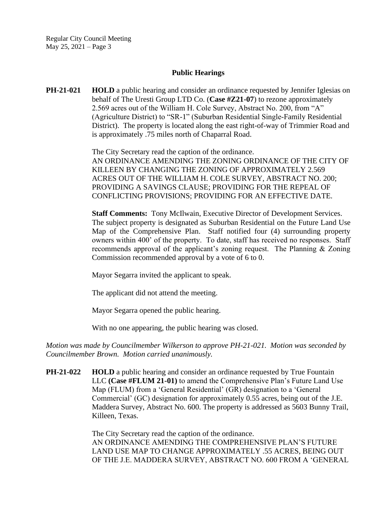Regular City Council Meeting May 25, 2021 – Page 3

#### **Public Hearings**

**PH-21-021 HOLD** a public hearing and consider an ordinance requested by Jennifer Iglesias on behalf of The Uresti Group LTD Co. (**Case #Z21-07**) to rezone approximately 2.569 acres out of the William H. Cole Survey, Abstract No. 200, from "A" (Agriculture District) to "SR-1" (Suburban Residential Single-Family Residential District). The property is located along the east right-of-way of Trimmier Road and is approximately .75 miles north of Chaparral Road.

> The City Secretary read the caption of the ordinance. AN ORDINANCE AMENDING THE ZONING ORDINANCE OF THE CITY OF KILLEEN BY CHANGING THE ZONING OF APPROXIMATELY 2.569 ACRES OUT OF THE WILLIAM H. COLE SURVEY, ABSTRACT NO. 200; PROVIDING A SAVINGS CLAUSE; PROVIDING FOR THE REPEAL OF CONFLICTING PROVISIONS; PROVIDING FOR AN EFFECTIVE DATE.

> **Staff Comments:** Tony McIlwain, Executive Director of Development Services. The subject property is designated as Suburban Residential on the Future Land Use Map of the Comprehensive Plan. Staff notified four (4) surrounding property owners within 400' of the property. To date, staff has received no responses. Staff recommends approval of the applicant's zoning request. The Planning & Zoning Commission recommended approval by a vote of 6 to 0.

Mayor Segarra invited the applicant to speak.

The applicant did not attend the meeting.

Mayor Segarra opened the public hearing.

With no one appearing, the public hearing was closed.

*Motion was made by Councilmember Wilkerson to approve PH-21-021. Motion was seconded by Councilmember Brown. Motion carried unanimously.*

**PH-21-022 HOLD** a public hearing and consider an ordinance requested by True Fountain LLC **(Case #FLUM 21-01)** to amend the Comprehensive Plan's Future Land Use Map (FLUM) from a 'General Residential' (GR) designation to a 'General Commercial' (GC) designation for approximately 0.55 acres, being out of the J.E. Maddera Survey, Abstract No. 600. The property is addressed as 5603 Bunny Trail, Killeen, Texas.

> The City Secretary read the caption of the ordinance. AN ORDINANCE AMENDING THE COMPREHENSIVE PLAN'S FUTURE LAND USE MAP TO CHANGE APPROXIMATELY .55 ACRES, BEING OUT OF THE J.E. MADDERA SURVEY, ABSTRACT NO. 600 FROM A 'GENERAL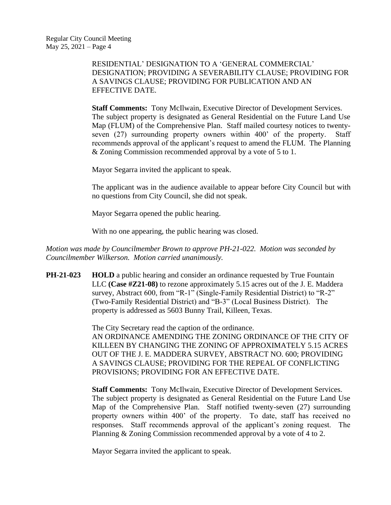RESIDENTIAL' DESIGNATION TO A 'GENERAL COMMERCIAL' DESIGNATION; PROVIDING A SEVERABILITY CLAUSE; PROVIDING FOR A SAVINGS CLAUSE; PROVIDING FOR PUBLICATION AND AN EFFECTIVE DATE.

**Staff Comments:** Tony McIlwain, Executive Director of Development Services. The subject property is designated as General Residential on the Future Land Use Map (FLUM) of the Comprehensive Plan. Staff mailed courtesy notices to twentyseven (27) surrounding property owners within 400' of the property. Staff recommends approval of the applicant's request to amend the FLUM. The Planning & Zoning Commission recommended approval by a vote of 5 to 1.

Mayor Segarra invited the applicant to speak.

The applicant was in the audience available to appear before City Council but with no questions from City Council, she did not speak.

Mayor Segarra opened the public hearing.

With no one appearing, the public hearing was closed.

*Motion was made by Councilmember Brown to approve PH-21-022. Motion was seconded by Councilmember Wilkerson. Motion carried unanimously.*

**PH-21-023 HOLD** a public hearing and consider an ordinance requested by True Fountain LLC **(Case #Z21-08)** to rezone approximately 5.15 acres out of the J. E. Maddera survey, Abstract 600, from "R-1" (Single-Family Residential District) to "R-2" (Two-Family Residential District) and "B-3" (Local Business District). The property is addressed as 5603 Bunny Trail, Killeen, Texas.

> The City Secretary read the caption of the ordinance. AN ORDINANCE AMENDING THE ZONING ORDINANCE OF THE CITY OF KILLEEN BY CHANGING THE ZONING OF APPROXIMATELY 5.15 ACRES OUT OF THE J. E. MADDERA SURVEY, ABSTRACT NO. 600; PROVIDING A SAVINGS CLAUSE; PROVIDING FOR THE REPEAL OF CONFLICTING PROVISIONS; PROVIDING FOR AN EFFECTIVE DATE.

> **Staff Comments:** Tony McIlwain, Executive Director of Development Services. The subject property is designated as General Residential on the Future Land Use Map of the Comprehensive Plan. Staff notified twenty-seven (27) surrounding property owners within 400' of the property. To date, staff has received no responses. Staff recommends approval of the applicant's zoning request. The Planning & Zoning Commission recommended approval by a vote of 4 to 2.

Mayor Segarra invited the applicant to speak.